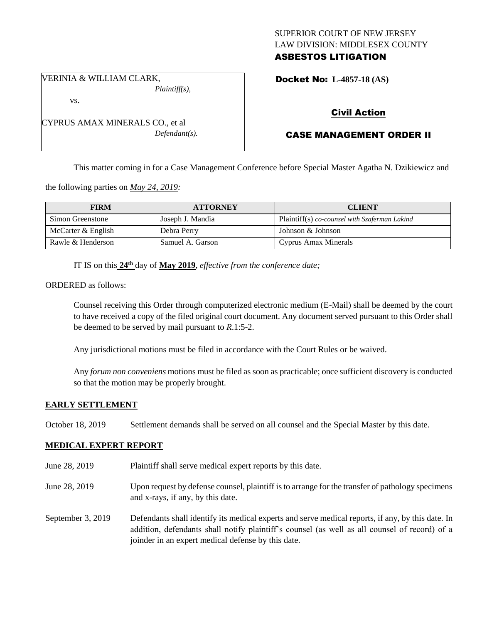## SUPERIOR COURT OF NEW JERSEY LAW DIVISION: MIDDLESEX COUNTY ASBESTOS LITIGATION

VERINIA & WILLIAM CLARK, *Plaintiff(s),*

vs.

CYPRUS AMAX MINERALS CO., et al *Defendant(s).* Docket No: **L-4857-18 (AS)** 

# Civil Action

# CASE MANAGEMENT ORDER II

This matter coming in for a Case Management Conference before Special Master Agatha N. Dzikiewicz and

the following parties on *May 24, 2019:*

| <b>FIRM</b>          | <b>ATTORNEY</b>  | <b>CLIENT</b>                                 |
|----------------------|------------------|-----------------------------------------------|
| Simon Greenstone     | Joseph J. Mandia | Plaintiff(s) co-counsel with Szaferman Lakind |
| McCarter $&$ English | Debra Perry      | Johnson & Johnson                             |
| Rawle & Henderson    | Samuel A. Garson | Cyprus Amax Minerals                          |

IT IS on this  $24^{\text{th}}$  day of May 2019, *effective from the conference date*;

ORDERED as follows:

Counsel receiving this Order through computerized electronic medium (E-Mail) shall be deemed by the court to have received a copy of the filed original court document. Any document served pursuant to this Order shall be deemed to be served by mail pursuant to *R*.1:5-2.

Any jurisdictional motions must be filed in accordance with the Court Rules or be waived.

Any *forum non conveniens* motions must be filed as soon as practicable; once sufficient discovery is conducted so that the motion may be properly brought.

## **EARLY SETTLEMENT**

October 18, 2019 Settlement demands shall be served on all counsel and the Special Master by this date.

## **MEDICAL EXPERT REPORT**

- June 28, 2019 Plaintiff shall serve medical expert reports by this date.
- June 28, 2019 Upon request by defense counsel, plaintiff is to arrange for the transfer of pathology specimens and x-rays, if any, by this date.
- September 3, 2019 Defendants shall identify its medical experts and serve medical reports, if any, by this date. In addition, defendants shall notify plaintiff's counsel (as well as all counsel of record) of a joinder in an expert medical defense by this date.